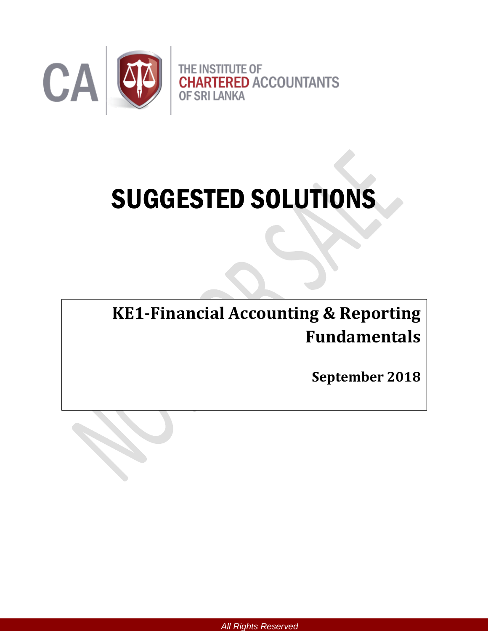

# SUGGESTED SOLUTIONS

**KE1-Financial Accounting & Reporting Fundamentals**

**September 2018**



*All Rights Reserved*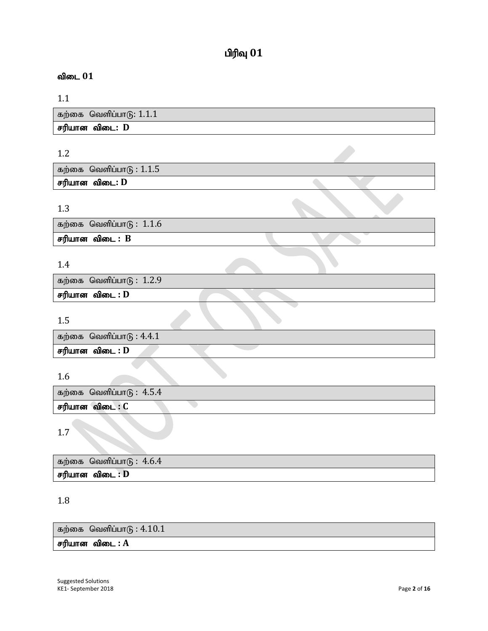# $\mathbf{p}$ ரிவு  $\mathbf{01}$

## விடை 01

## 1.1

| கற்கை வெளிப்பாடு: $1.1.1$ |
|---------------------------|
| சரியான விடை: D            |

## 1.2

| கற்கை வெளிப்பாடு : $1.1.5$ |  |  |
|----------------------------|--|--|
| சரியான விடை: D             |  |  |

## 1.3

| கற்கை வெளிப்பா $\left(\mathbf{\overline{6}}:\,1.1.6\right)$ |  |
|-------------------------------------------------------------|--|
| சரியான விடை : B                                             |  |
|                                                             |  |

## 1.4

| கற்கை வெளிப்பா $\mathfrak{g}: 1.2.9$ |  |
|--------------------------------------|--|
| சரியான விடை : D                      |  |
|                                      |  |

## 1.5

| கற்கை வெளிப்பா $\mathfrak{G}$ : 4.4.1 |  |
|---------------------------------------|--|
| சரியான விடை : D                       |  |
|                                       |  |

## 1.6

| கற்கை வெளிப்பாடு : $4.5.4$ |  |
|----------------------------|--|
| சரியான விடை : C            |  |

1.7

| கற்கை வெளிப்பாடு : $4.6.4$ |
|----------------------------|
| சரியான விடை : D            |

## 1.8

கற்கை வெளிப்பா $6: 4.10.1$ 

 $\overline{\text{eff}}$ யான விடை $\overline{\text{H}}$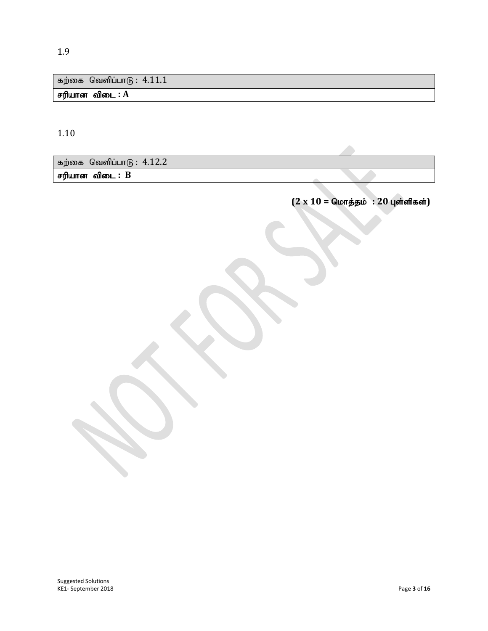கற்கை வெளிப்பா $6: 4.11.1$ 

 $F$ ரியான விடை :  $A$ 

1.10

கற்கை வெளிப்பா $6: 4.12.2$ சரியான விடை : B

 $(2 \times 10 =$  மொத்தம் : 20 புள்ளிகள்)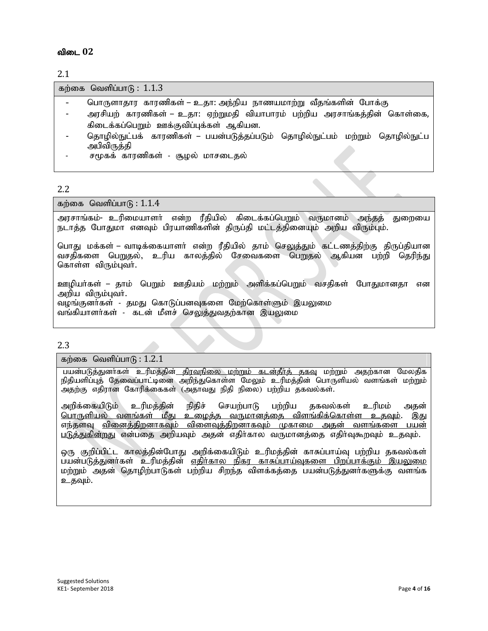2.1

கற்கை வெளிப்பா $(6: 1.1.3)$ 

- பொருளாகார காரணிகள் உ.தா: அந்நிய நாணயமாற்று வீதங்களின் போக்கு
- அரசியற் காரணிகள் உதா: ஏற்றுமதி வியாபாரம் பற்றிய அரசாங்கத்தின் கொள்கை, கிடைக்கப்பெறும் ஊக்குவிப்புக்கள் ஆகியன.
- தொழில்நுட்பக் காரணிகள் பயன்படுத்தப்படும் தொழில்நுட்பம் மற்றும் தொழில்நுட்ப அபிவிருத்தி
- சமூகக் காரணிகள் சூழல் மாசடைதல்

#### 2.2

கற்கை வெளிப்பா $f<sub>B</sub>: 1.1.4$ 

அரசாங்கம்- உரிமையாளர் என்ற ரீதியில் கிடைக்கப்பெறும் வருமானம் அந்தத் துறையை நடாத்த போதுமா எனவும் பிரயாணிகளின் திருப்தி மட்டத்தினையும் அறிய விரும்பும்.

பொது மக்கள் – வாடிக்கையாளா் என்ற ரீதியில் தாம் செலுத்தும் கட்டணத்திற்கு திருப்தியான வசதிகளை பெறுதல், உரிய காலக்கில் சேவைகளை பொருல் ஆகியன பற்றி தெரிந்து கொள்ள விரும்புவர்.

<u>ஊ</u>ழியா்கள் – தாம் பெறும் ஊதியம் மற்றும் அளிக்கப்பெறும் வசதிகள் போதுமானதா என அறிய விரும்புவர். வழங்குனர்கள் - தமது கொடுப்பனவுகளை மேற்கொள்ளும் இயலுமை வங்கியாளர்கள் - கடன் மீளச் ச<u>ெலுத்து</u>வதற்கான இயலுமை

#### 2.3

கற்கை வெளிப்பா $f<sub>B</sub>$ : 1.2.1

பயன்படுத்துனர்கள் உரிமத்தின<u>் திரவநிலை மற்றும் கடன்தீர்க் தகவு</u> மற்றும் அதற்கான மேலதிக நிதியளிப்புத் தேவைப்பாட்டினை அறிந்துகொள்ள மேலும் உரிமத்தின் பொருளியல் வளங்கள் மற்றும் அதற்கு எதிரான கோரிக்கைகள் (அதாவது நிதி நிலை) பற்றிய தகவல்கள்.

அறிக்கையிடும் உரிமத்தின் நிதிச் செயற்பாடு பற்றிய தகவல்கள் உரிமம் அதன் <u>பொருளியல் வளங்கள் மீது உழைத்த வருமானத்தை விளங்கிக்கொள்ள உதவும்</u>. இது எந்தளவு <u>வினைத்திறனாகவும் விளைவுத்திறனாகவும் முகாமை அதன் வளங்களை பயன்</u> படுத்துகின்றது என்பதை அறியவும் அதன் எதிர்கால வருமானத்தை எதிர்வுகூறவும் உதவும்.

ஒரு குறிப்பிட்ட காலத்தின்போது அறிக்கையிடும் உரிமத்தின் காசுப்பாய்வு பற்றிய தகவல்கள் பயன்படுத்துனர்கள் உரிமத்தின் எதிர்கால நிகர காசுப்பாய்வுகளை பிறப்பாக்கும் இயலுமை மற்றும் அதன் தொழிற்பாடுகள் பற்றிய சிறந்த விளக்கக்கை பயன்படுக்குனர்களுக்கு வளங்க உகவும்.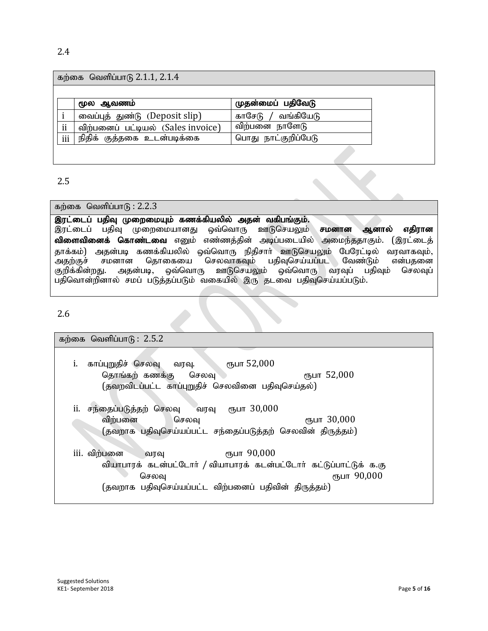#### 2.4

#### கற்கை வெளிப்பாடு  $2.1.1$ ,  $2.1.4$

|            | மூல ஆவணம்                          | முதன்மைப் பதிவேடு   |
|------------|------------------------------------|---------------------|
|            | வைப்புத் துண்டு (Deposit slip)     | காசேடு / வங்கியேடு  |
| ii         | விற்பனைப் பட்டியல் (Sales invoice) | விற்பனை நாளேடு      |
| <i>iii</i> | நிதிக் குத்தகை உடன்படிக்கை         | பொது நாட்குறிப்பேடு |

#### 2.5

#### கற்கை வெளிப்பா $f<sub>B</sub>$ : 2.2.3

#### இரட்டைப் பதிவு முறைமையும் கணக்கியலில் அதன் வகிபங்கும். இரட்டைப் பதிவு முறைமையானது ஒவ்வொரு ஊடுசெயலும் **சமனான ஆனால் எதிரான**

விளைவினைக் கொண்டவை எனும் எண்ணத்தின் அடிப்படையில் அமைந்ததாகும். (இரட்டைத் தாக்கம்) அதன்படி கணக்கியலில் ஒவ்வொரு நிதிசார் ஊடுசெயலும் பேரேட்டில் வரவாகவும்,<br>அகற்குச் சமனான கொகையை செலவாகவம் பகிவசெய்யப்பட வேண்டும் என்பகனை .<br>அதற்குச் சமனான தொகையை செலவாகவும் பதிவுசெய்யப்பட வேண்டும் என்பதனை<br>குறிக்கின்றது. அதன்படி, ஒவ்வொரு ஊடுசெயலும் ஒவ்வொரு வரவுப் பதிவும் செலவுப் ஊடுசெயலும் பதிவொன்றினால் சமப் படுத்தப்படும் வகையில் இரு தடவை பதிவுசெய்யப்படும்.

#### 2.6

# கற்கை வெளிப்பா $f<sub>B</sub>$ : 2.5.2 i. காப்புறுதிச் செலவு வரவு.  $\epsilon$ ா,பா $52,000$ தொங்கற் கணக்கு செலவு மார்ப்பிட்டி கார் 52,000 (தவறவிடப்பட்ட காப்புறுதிச் செலவினை பதிவுசெய்தல்)  $i$ ii. சந்தைப்படுத்தற் செலவு வரவு ரூபா  $30,000$ விற்பனை செலவு மா $\tau$  30,000  $(g$ வறாக பதிவுசெய்யப்பட்ட சந்தைப்படுத்தற் செலவின் திருத்தம்)  $\overline{\text{iii.}}$  விற்பனை வரவு  $\overline{\text{m}}$   $\overline{\text{m}}$ பா  $90,000$ வியாபாரக் கடன்பட்டோர் / வியாபாரக் கடன்பட்டோர் கட்டுப்பாட்டுக் க.கு செலவு $\sigma$ (தவறாக பதிவுசெய்யப்பட்ட விற்பனைப் பதிவின் திருத்தம்)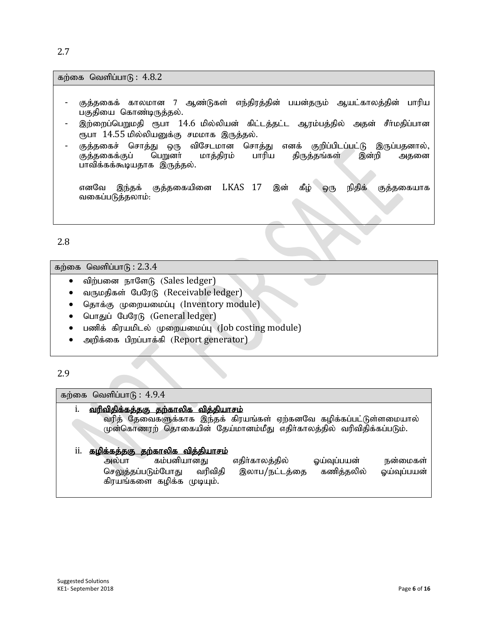2.7

கற்கை வெளிப்பா $f<sub>B</sub>$ :  $4.8.2$ 

- குத்தகைக் காலமான 7 ஆண்டுகள் எந்திரத்தின் பயன்தரும் ஆயட்காலத்தின் பாரிய பகுதியை கொண்டிருத்தல்.
- இற்றைப்பெறுமதி ரூபா  $14.6$  மில்லியன் கிட்டத்தட்ட ஆரம்பத்தில் அதன் சீா்மதிப்பான ரூபா 14.55 மில்லியனுக்கு சமமாக இருத்தல்.
- குத்தகைச் சொத்து ஒரு விசேடமான சொத்து எனக் குறிப்பிடப்பட்டு இருப்பதனால்,<br>குத்தகைக்குப் பெறுனா் மாத்திரம் பாரிய திருத்தங்கள் இன்றி அதனை குத்தகைக்குப் பெறுனா் மாத்திரம் பாரிய திருத்தங்கள் இன்றி அதனை பாவிக்கக்கூடியதாக இருத்தல்.

எனவே இந்தக் குத்தகையினை LKAS 17 இன் கீழ் ஒரு நிதிக் குத்தகையாக வகைப்படுத்தலாம்:

2.8

கற்கை வெளிப்பா $\sqrt{6}$  : 2.3.4

- விற்பனை நாளேடு (Sales ledger)
- வருமதிகள் பேரேடு (Receivable ledger)
- தொக்கு முறையமைப்பு (Inventory module)
- பொதுப் பேரேடு (General ledger)
- பணிக் கிரயமிடல் முறையமைப்பு (Job costing module)
- அறிக்கை பிறப்பாக்கி (Report generator)

2.9

#### கற்கை வெளிப்பா $f<sub>B</sub>$ : 4.9.4

#### i. வரிவிதிக்கக்ககு கற்காலிக விக்கியாசம்

வரித் தேவைகளுக்காக இந்தக் கிரயங்கள் ஏற்கனவே கழிக்கப்பட்டுள்ளமையால் முன்கொணரற் தொகையின் தேய்மானம்மீது எதிர்காலத்தில் வரிவிதிக்கப்படும்.

#### ii. <u>கழிக்கத்தகு தற்காலிக வித்தியாசம்</u>

| கம்பனியானது<br>அலபா        | எதிர்காலத்தில் | ஓயவுபபயன   | நனமைகள      |
|----------------------------|----------------|------------|-------------|
| செலுத்தப்படும்போது வரிவிதி | இலாப/நட்டத்தை  | கணித்தலில் | ஓய்வுப்பயன் |
| கிரயங்களை கழிக்க முடியும். |                |            |             |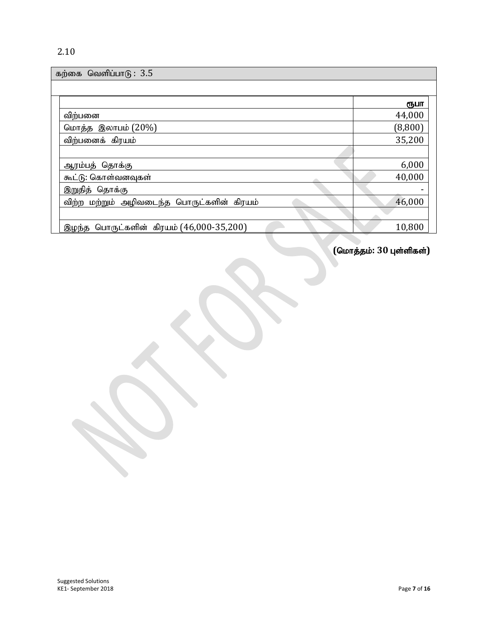| வெளிப்பா $(6: 3.5)$<br>கற்கை               |         |
|--------------------------------------------|---------|
|                                            |         |
|                                            | ரூபா    |
| விற்பனை                                    | 44,000  |
| மொத்த இலாபம் (20%)                         | (8,800) |
| விற்பனைக் கிரயம்                           | 35,200  |
|                                            |         |
| ஆரம்பத் தொக்கு                             | 6,000   |
| கூட்டு: கொள்வனவுகள்                        | 40,000  |
| இறுதித் தொக்கு                             |         |
| விற்ற மற்றும் அழிவடைந்த பொருட்களின் கிரயம் | 46,000  |
|                                            |         |
| இழந்த பொருட்களின் கிரயம் (46,000-35,200)   | 10,800  |

 $($ மொத்தம்:  $30$  புள்ளிகள்)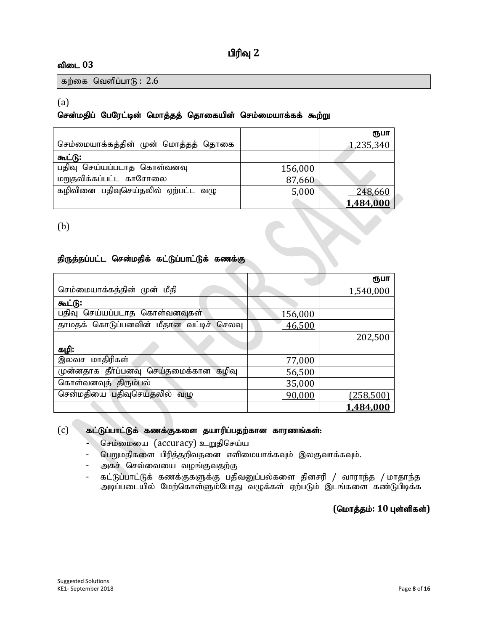## பிரிவு 2

#### விடை 03

கற்கை வெளிப்பா $f<sub>B</sub>$ : 2.6

#### (a)

#### சென்மதிப் பேரேட்டின் மொத்தத் தொகையின் செம்மையாக்கக் கூற்று

|                                     |         | ரூபா      |
|-------------------------------------|---------|-----------|
| செம்மையாக்கத்தின் முன் மொத்தத் தொகை |         | 1,235,340 |
| கூட்டு:                             |         |           |
| பதிவு செய்யப்படாத கொள்வனவு          | 156,000 |           |
| மறுதலிக்கப்பட்ட காசோலை              | 87,660  |           |
| கழிவினை பதிவுசெய்தலில் ஏற்பட்ட வழு  | 5,000   | 248,660   |
|                                     |         | 1,484,000 |

(b)

## திருத்தப்பட்ட சென்மதிக் கட்டுப்பாட்டுக் கணக்கு

|                                            |         | ரூபா             |
|--------------------------------------------|---------|------------------|
| செம்மையாக்கத்தின் முன் மீதி                |         | 1,540,000        |
| கூட்டு:                                    |         |                  |
| பதிவு செய்யப்படாத கொள்வனவுகள்              | 156,000 |                  |
| தாமதக் கொடுப்பனவின் மீதான வட்டிச்<br>செலவு | 46,500  |                  |
|                                            |         | 202,500          |
| கழி:                                       |         |                  |
| இலவச மாதிரிகள்                             | 77,000  |                  |
| முன்னதாக தீா்ப்பனவு செய்தமைக்கான<br>கழிவு  | 56,500  |                  |
| கொள்வனவுத் திரும்பல்                       | 35,000  |                  |
| சென்மதியை பதிவுசெய்தலில் வழு               | 90,000  | <u>(258,500)</u> |
|                                            |         | 1,484,000        |

#### $(c)$  கட்டுப்பாட்டுக் கணக்குகளை தயாரிப்பதற்கான காரணங்கள்:

- செம்மையை (accuracy) உறுதிசெய்ய
- பெறுமதிகளை பிரித்தறிவதனை எளிமையாக்கவும் இலகுவாக்கவும்.
- அகச் செவ்வையை வழங்குவதற்கு
- கட்டுப்பாட்டுக் கணக்குகளுக்கு பதிவனுப்பல்களை தினசரி / வாராந்த / மாதாந்த அடிப்படையில் மேற்கொள்ளும்போது வழுக்கள் ஏற்படும் இடங்களை கண்டுபிடிக்க

#### $($ மொத்தம்: 10 புள்ளிகள்)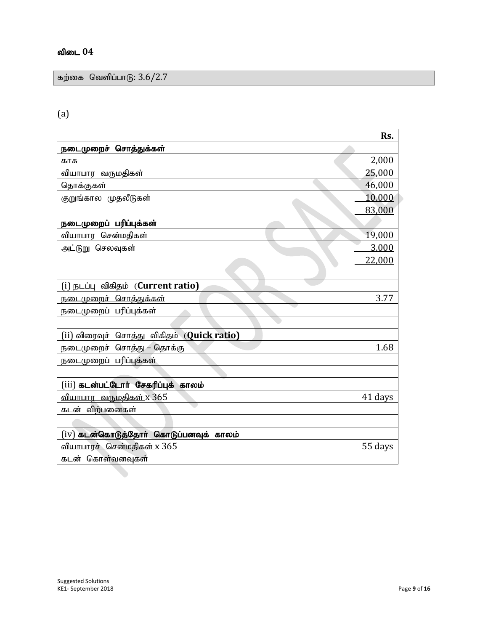கற்கை வெளிப்பாடு:  $3.6/2.7$ 

## (a)

|                                            | Rs.     |
|--------------------------------------------|---------|
| நடைமுறைச் சொத்துக்கள்                      |         |
| காசு                                       | 2,000   |
| வியாபார வருமதிகள்                          | 25,000  |
| தொக்குகள்                                  | 46,000  |
| குறுங்கால முதலீடுகள்                       | 10,000  |
|                                            | 83,000  |
| நடைமுறைப் பரிப்புக்கள்                     |         |
| வியாபார சென்மதிகள்                         | 19,000  |
| அட்டுறு செலவுகள்                           | 3,000   |
|                                            | 22,000  |
|                                            |         |
| (i) நடப்பு விகிதம் (Current ratio)         |         |
| <u> நடைமுறைச் சொத்துக்கள்</u>              | 3.77    |
| நடைமுறைப் பரிப்புக்கள்                     |         |
|                                            |         |
| (ii) விரைவுச் சொத்து விகிதம் (Quick ratio) |         |
| <u> நடைமுறைச் சொத்து – தொக்கு</u>          | 1.68    |
| நடைமுறைப் பரிப்புக்கள்                     |         |
|                                            |         |
| (iii) கடன்பட்டோர் சேகரிப்புக் காலம்        |         |
| <u>வியாபார வருமதிகள் x 365</u>             | 41 days |
| கடன் விற்பனைகள்                            |         |
|                                            |         |
| $(iv)$ கடன்கொடுத்தோா் கொடுப்பனவுக் காலம்   |         |
| வியாபாரச் சென்மதிகள் x 365                 | 55 days |
| கடன் கொள்வனவுகள்                           |         |
|                                            |         |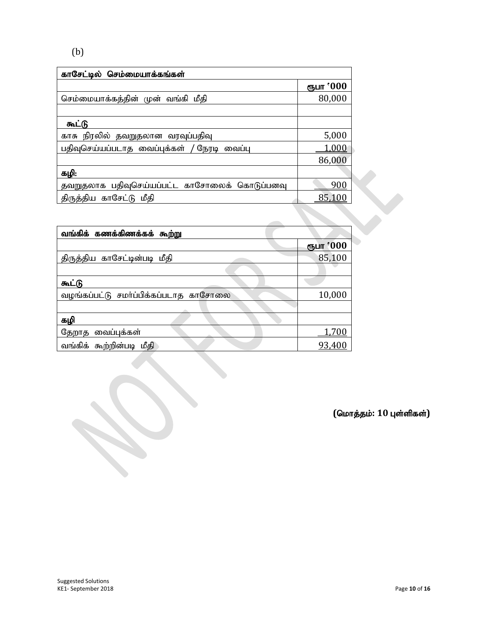## (b)

| காசேட்டில் செம்மையாக்கங்கள்                   |           |
|-----------------------------------------------|-----------|
|                                               | ரூபா '000 |
| செம்மையாக்கத்தின் முன் வங்கி மீதி             | 80,000    |
|                                               |           |
| கூட்டு                                        |           |
| காசு நிரலில் தவறுதலான வரவுப்பதிவு             | 5,000     |
| பதிவுசெய்யப்படாத வைப்புக்கள் / நேரடி வைப்பு   | 1,000     |
|                                               | 86,000    |
| கழி:                                          |           |
| தவறுதலாக பதிவுசெய்யப்பட்ட காசோலைக் கொடுப்பனவு | 900       |
| திருத்திய காசேட்டு மீதி                       | 85,10     |

| வங்கிக் கணக்கிணக்கக் கூற்று           |           |
|---------------------------------------|-----------|
|                                       | ரூபா '000 |
| திருத்திய காசேட்டின்படி மீதி          | 85,100    |
|                                       |           |
| கூட்டு                                |           |
| வழங்கப்பட்டு சமா்ப்பிக்கப்படாத காசோலை | 10,000    |
|                                       |           |
| கழி                                   |           |
| தேறாத வைப்புக்கள்                     | 1,700     |
| வங்கிக் கூற்றின்படி மீதி              | 93,400    |

 $($ மொத்தம்: 10 புள்ளிகள்)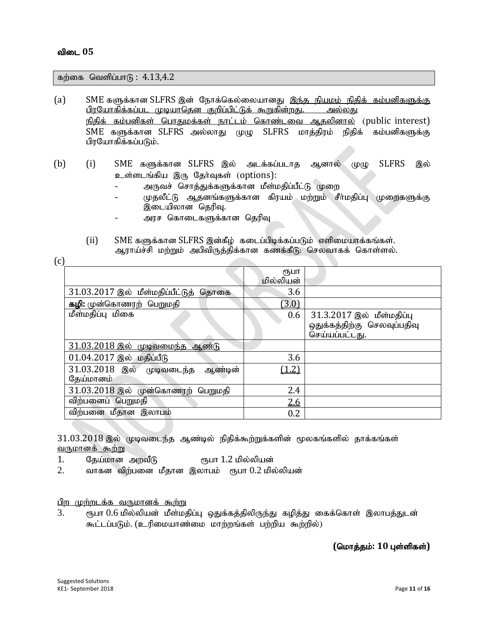$\Gamma$ 

கற்கை வெளிப்பா $f_5$ : 4.13,4.2

- (a) SME களுக்கான SLFRS இன் நோக்கெல்லையானது இந்த நியமம் நிதிக் கம்பனிகளுக்கு <u>பிரயோகிக்கப்பட முடியாதென குறிப்பிட்டுக் கூறுகின்றது. அல்லது</u> நிதிக் கம்பனிகள் பொதுமக்கள் நாட்டம் கொண்டவை ஆதலினால் (public interest)  $SME$  களுக்கான SLFRS அல்லாது முழு SLFRS மாத்திரம் நிதிக் கம்பனிகளுக்கு பிரயோகிக்கப்படும்.
- (b) (i) SME களுக்கான SLFRS இல் அடக்கப்படாக ஆனால் முமு SLFRS இல் உள்ளடங்கிய இரு தேர்வுகள் (options):
	- அருவச் சொத்துக்களுக்கான மீள்மதிப்பீட்டு முறை
	- முதலீட்டு ஆதனங்களுக்கான கிரயம் மற்றும் சீா்மதிப்பு முறைகளுக்கு இடையிலான தெரிவு.
	- அரச கொடைகளுக்கான தெரிவு
	- $(i)$  SME களுக்கான SLFRS இன்கீழ் கடைப்பிடிக்கப்படும் எளிமையாக்கங்கள். ஆராய்ச்சி மற்றும் அபிவிருத்திக்கான கணக்கீடு: செலவாகக் கொள்ளல்.

| いし |                                                   |                   |                                                                            |
|----|---------------------------------------------------|-------------------|----------------------------------------------------------------------------|
|    |                                                   | ₹ҦШΠ<br>மில்லியன் |                                                                            |
|    | 31.03.2017 இல் மீள்மதிப்பீட்டுத்<br>தொகை          | 3.6               |                                                                            |
|    | கழி: முன்கொணரற் பெறுமதி                           | (3.0)             |                                                                            |
|    | மீள்மதிப்பு மிகை                                  | 0.6               | 31.3.2017 இல் மீள்மதிப்பு<br>ஒதுக்கத்திற்கு செலவுப்பதிவு<br>செய்யப்பட்டது. |
|    | 31.03.2018 இல் முடிவமைந்த ஆண்டு                   |                   |                                                                            |
|    | $01.04.2017$ இல் மதிப்பீடு                        | 3.6               |                                                                            |
|    | 31.03.2018 இல் முடிவடைந்த<br>ஆண்டின்<br>தேய்மானம் | (1.2)             |                                                                            |
|    | 31.03.2018 இல் முன்கொணரற்<br>பெறுமதி              | 2.4               |                                                                            |
|    | விற்பனைப் பெறுமதி                                 | <u>2.6</u>        |                                                                            |
|    | விற்பனை மீதான இலாபம்                              | 0.2               |                                                                            |

 $31.03.2018$  இல் முடிவடைந்த ஆண்டில் நிதிக்கூற்றுக்களின் மூலகங்களில் தாக்கங்கள் வருமானக் கூற்று

1. தேய்மான அறவீடு ரூபா 1.2 மில்லியன்

 $2.$  வாகன விற்பனை மீதான இலாபம் ரூபா $0.2$  மில்லியன்

பிற முற்றடக்க வருமானக் கூற்று

3. ரூபா  $0.6$  மில்லியன் மீள்மதிப்பு ஒதுக்கத்திலிருந்து கழித்து கைக்கொள் இலாபத்துடன் கூட்டப்படும். (உரிமையாண்மை மாற்றங்கள் பற்றிய கூற்றில்)

#### $($ மொத்தம்: 10 புள்ளிகள்)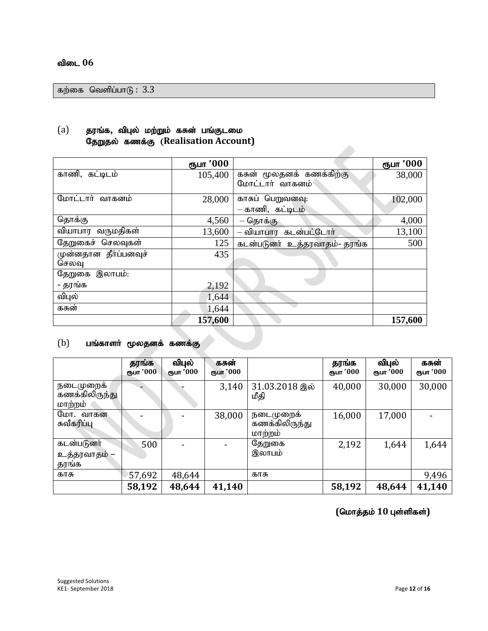கற்கை வெளிப்பா $6: 3.3$ 

## $(a)$  தரங்க, விபுல் மற்றும் கசுன் பங்குடமை **தேறுதல் கணக்கு (Realisation Account)**

|                       | ரூபா '000 |                              | ரூபா '000 |
|-----------------------|-----------|------------------------------|-----------|
| காணி, கட்டிடம்        | 105,400   | கசுன் மூலதனக் கணக்கிற்கு     | 38,000    |
|                       |           | மோட்டார் வாகனம்              |           |
| மோட்டார் வாகனம்       | 28,000    | காசுப் பெறுவனவு:             | 102,000   |
|                       |           | – காணி, கட்டிடம்             |           |
| தொக்கு                | 4,560     | – தொக்கு                     | 4,000     |
| வியாபார வருமதிகள்     | 13,600    | – வியாபார கடன்பட்டோர்        | 13,100    |
| தேறுகைச் செலவுகள்     | 125       | கடன்படுனர் உத்தரவாதம்- தரங்க | 500       |
| முன்னதான தீர்ப்பனவுச் | 435       |                              |           |
| செலவு                 |           |                              |           |
| இலாபம்:<br>தேறுகை     |           |                              |           |
| - தரங்க               | 2,192     |                              |           |
| விபுல்                | 1,644     |                              |           |
| கசுன்                 | 1,644     |                              |           |
|                       | 157,600   |                              | 157,600   |

## $(b)$  பங்காளர் மூலதனக் கணக்கு

|                                       | தரங்க<br>ரூபா '000 | விபுல்<br>ரூபா '000 | கசுன்<br>ரூபா '000 |                                        | தரங்க<br>ரூபா '000 | விபுல்<br>ரூபா '000 | கசுன்<br>ரூபா '000 |
|---------------------------------------|--------------------|---------------------|--------------------|----------------------------------------|--------------------|---------------------|--------------------|
| நடைமுறைக<br>கணக்கிலிருந்து<br>மாற்றம் |                    |                     | 3,140              | 31.03.2018 இல்<br>மீதி                 | 40,000             | 30,000              | 30,000             |
| மோ. வாகன<br>சுவீகரிப்பு               |                    |                     | 38,000             | நடைமுறைக்<br>கணக்கிலிருந்து<br>மாற்றம் | 16,000             | 17,000              |                    |
| கடன்படுனர்<br>உத்தரவாதம் –<br>தரங்க   | 500                | $\blacksquare$      |                    | தேறுகை<br>இலாபம்                       | 2,192              | 1,644               | 1,644              |
| காசு                                  | 57,692             | 48,644              |                    | காசு                                   |                    |                     | 9,496              |
|                                       | 58,192             | 48,644              | 41,140             |                                        | 58,192             | 48,644              | 41,140             |

 $($ மொத்தம் 10 புள்ளிகள்)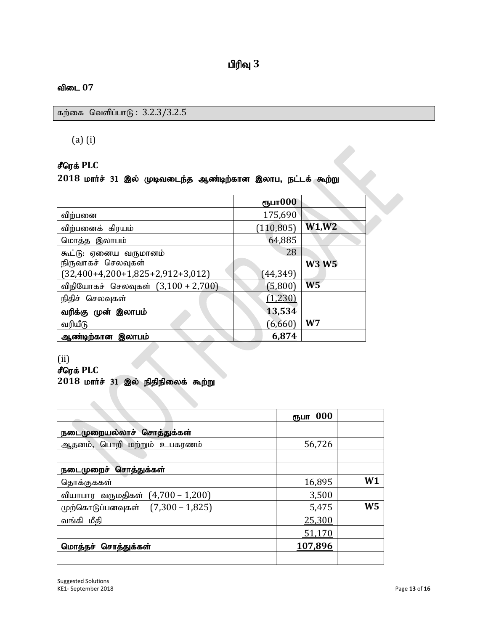கற்கை வெளிப்பா $6: 3.2.3/3.2.5$ 

(a) (i)

## $\mathbf{f}$ ரெக் PLC

## 2018 மார்ச் 31 இல் முடிவடைந்த ஆண்டிற்கான இலாப, நட்டக் கூற்று

| சீரெக் PLC                                                     |            |                |  |
|----------------------------------------------------------------|------------|----------------|--|
| $2018$ மார்ச் 31 இல் முடிவடைந்த ஆண்டிற்கான இலாப, நட்டக் கூற்று |            |                |  |
|                                                                |            |                |  |
|                                                                | ரூபா $000$ |                |  |
| விற்பனை                                                        | 175,690    |                |  |
| விற்பனைக் கிரயம்                                               | (110, 805) | W1, W2         |  |
| மொத்த இலாபம்                                                   | 64,885     |                |  |
| கூட்டு: ஏனைய வருமானம்                                          | 28         |                |  |
| நிருவாகச் செலவுகள்                                             |            | <b>W3 W5</b>   |  |
| $(32,400+4,200+1,825+2,912+3,012)$                             | (44,349)   |                |  |
| விநியோகச் செலவுகள் (3,100 + 2,700)                             | (5,800)    | W <sub>5</sub> |  |
| நிதிச் செலவுகள்                                                | (1, 230)   |                |  |
| வரிக்கு முன் இலாபம்                                            | 13,534     |                |  |
| வரியீடு                                                        | (6,660)    | W <sub>7</sub> |  |
| ஆண்டிற்கான இலாபம்                                              | 6,874      |                |  |

#### (ii)

 $\epsilon$ ரெக் PLC

## 2018 மார்ச் 31 இல் நிதிநிலைக் கூற்று

|                                               | ரூபா 000 |    |
|-----------------------------------------------|----------|----|
| நடைமுறையல்லாச் சொத்துக்கள்                    |          |    |
| ஆதனம், பொறி மற்றும் உபகரணம்                   | 56,726   |    |
|                                               |          |    |
| <u>நடைமுறைச் சொத்துக்கள்</u>                  |          |    |
| <u>தொக்கு</u> ககள்                            | 16,895   | W1 |
| <u>வியாபார வருமதிகள் (4,700 – 1,200)</u>      | 3,500    |    |
| $(7,300 - 1,825)$<br><u>முற்கொடுப்பனவுகள்</u> | 5,475    | W5 |
| வங்கி மீதி                                    | 25,300   |    |
|                                               | 51,170   |    |
| மொத்தச் சொத்துக்கள்                           | 107,896  |    |
|                                               |          |    |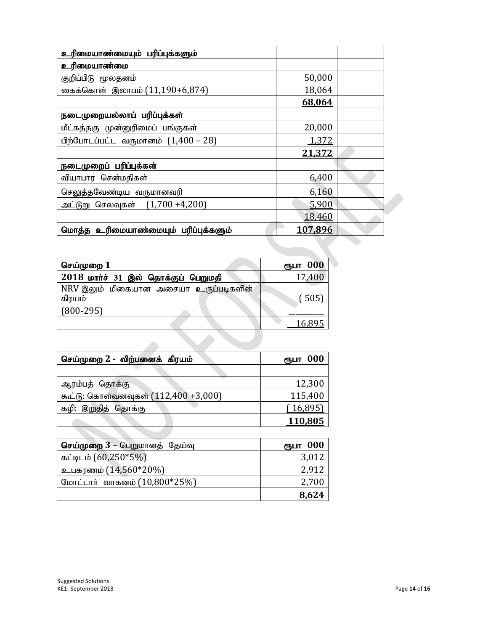| உரிமையாண்மையும் பரிப்புக்களும்        |         |  |
|---------------------------------------|---------|--|
| உரிமையாண்மை                           |         |  |
| குறிப்பிடு மூலதனம்                    | 50,000  |  |
| கைக்கொள் இலாபம் (11,190+6,874)        | 18,064  |  |
|                                       | 68,064  |  |
| <u>நடைமுறையல்லாப் பரிப்புக்கள்</u>    |         |  |
| மீட்கத்தகு முன்னுரிமைப் பங்குகள்      | 20,000  |  |
| பிற்போடப்பட்ட வருமானம் $(1,400 - 28)$ | 1,372   |  |
|                                       | 21,372  |  |
| நடைமுறைப் பரிப்புக்கள்                |         |  |
| வியாபார சென்மதிகள்                    | 6,400   |  |
| செலுத்தவேண்டிய வருமானவரி              | 6,160   |  |
| அட்டுறு செலவுகள் (1,700 +4,200)       | 5,900   |  |
|                                       | 18,460  |  |
| மொத்த உரிமையாண்மையும் பரிப்புக்களும்  | 107,896 |  |

| செய்முறை $1$                                    | ரூபா 000 |
|-------------------------------------------------|----------|
| $2018$ மார்ச் 31 இல் தொக்குப் பெறுமதி           | 17,400   |
| NRV இலும் மிகையான அசையா உருப்படிகளின்<br>கிரயம் | (505)    |
| $(800-295)$                                     |          |
|                                                 | 16,895   |
|                                                 |          |

| செய்முறை 2 - விற்பனைக் கிரயம்        | ரூபா 000 |
|--------------------------------------|----------|
|                                      |          |
| ஆரம்பத் தொக்கு                       | 12,300   |
| கூட்டு: கொள்வனவுகள் (112,400 +3,000) | 115,400  |
| கழி: இறுதித் தொக்கு                  | (16,895) |
|                                      | 110,805  |

| செய்முறை 3 – பெறுமானத் தேய்வு | ரூபா 000     |
|-------------------------------|--------------|
| கட்டிடம் $(60,250*5%)$        | 3,012        |
| உபகரணம் (14,560*20%)          | 2,912        |
| மோட்டார் வாகனம் (10,800*25%)  | <u>2.700</u> |
|                               | 8,624        |

a de la calactería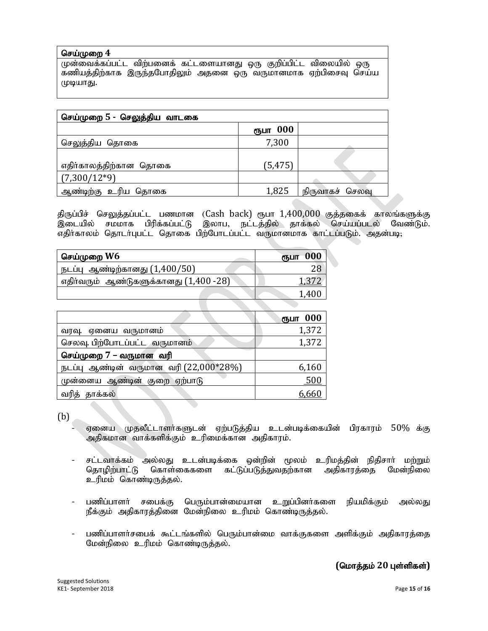#### செய்முறை 4

முன்வைக்கப்பட்ட விற்பனைக் கட்டளையானது ஒரு குறிப்பிட்ட விலையில் ஒரு கணியத்திற்காக இருந்தபோதிலும் அதனை ஒரு வருமானமாக ஏற்பிசைவு செய்ய முடியாது.

| செய்முறை 5 - செலுத்திய வாடகை |          |                 |
|------------------------------|----------|-----------------|
|                              | ரூபா 000 |                 |
| செலுத்திய தொகை               | 7,300    |                 |
| எதிர்காலத்திற்கான தொகை       | (5, 475) |                 |
| $(7,300/12*9)$               |          |                 |
| ஆண்டிற்கு உரிய தொகை          | 1,825    | நிருவாகச் செலவு |

திருப்பிச் செலுத்தப்பட்ட பணமான (Cash back) ரூபா 1,400,000 குத்தகைக் காலங்களுக்கு<br>இடையில் சமமாக பிரிக்கப்பட்டு இலாப, நட்டத்தில் தாக்கல் செய்யப்படல் வேண்டும். சமமாக பிரிக்கப்பட்டு இலாப, நட்டத்தில் தாக்கல் செய்யப்படல் வேண்டும். எதிர்காலம் தொடர்புபட்ட தொகை பிற்போடப்பட்ட வருமானமாக காட்டப்படும். அதன்படி;

| செய்முறை W6                            | 000<br>ரூபா |
|----------------------------------------|-------------|
| நடப்பு ஆண்டிற்கானது $(1,400/50)$       |             |
| எதிர்வரும் ஆண்டுகளுக்கானது (1,400 -28) |             |
|                                        | 1.400       |
|                                        |             |

|                                          | ரூபா 000   |
|------------------------------------------|------------|
| வரவு. ஏனைய வருமானம்                      | 1,372      |
| செலவு. பிற்போடப்பட்ட வருமானம்            | 1,372      |
| செய்முறை 7 – வருமான வரி                  |            |
| நடப்பு ஆண்டின் வருமான வரி $(22,000*28%)$ | 6,160      |
| முன்னைய ஆண்டின் குறை ஏற்பாடு             | <u>500</u> |
| தாக்கல்<br>வர்க                          | 6,66(      |

(b)

- ஏனைய முதலீட்டாளர்களுடன் ஏற்படுத்திய உடன்படிக்கையின் பிரகாரம் 50% க்கு அதிகமான வாக்களிக்கும் உரிமைக்கான அதிகாரம்.
- சட்டவாக்கம் அல்லது உடன்படிக்கை ஒன்றின் மூலம் உரிமத்தின் நிதிசார் மற்றும்<br>தொழிற்பாட்டு கொள்கைகளை கட்டுப்படுத்துவதற்கான அதிகாரத்தை மேன்நிலை கொள்கைகளை கட்டுப்படுத்துவதற்கான உரிமம் கொண்டிருத்தல்.
- பணிப்பாளர் சபைக்கு பெரும்பான்மையான உறுப்பினர்களை நியமிக்கும் அல்லது நீக்கும் அதிகாரத்தினை மேன்நிலை உரிமம் கொண்டிருத்தல்.
- பணிப்பாளர்சபைக் கூட்டங்களில் பெரும்பான்மை வாக்குகளை அளிக்கும் அதிகாரத்தை மேன்நிலை உரிமம் கொண்டிருத்தல்.

## $($ மொத்தம் 20 புள்ளிகள்)